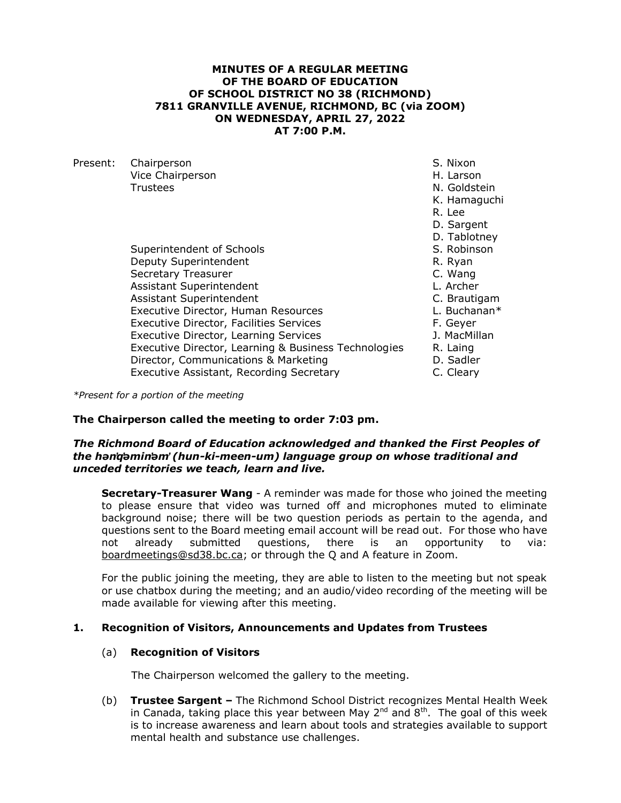## **MINUTES OF A REGULAR MEETING OF THE BOARD OF EDUCATION OF SCHOOL DISTRICT NO 38 (RICHMOND) 7811 GRANVILLE AVENUE, RICHMOND, BC (via ZOOM) ON WEDNESDAY, APRIL 27, 2022 AT 7:00 P.M.**

| Present: | Chairperson                                          | S. Nixon     |
|----------|------------------------------------------------------|--------------|
|          | Vice Chairperson                                     | H. Larson    |
|          | Trustees                                             | N. Goldstein |
|          |                                                      | K. Hamaguchi |
|          |                                                      | R. Lee       |
|          |                                                      | D. Sargent   |
|          |                                                      | D. Tablotney |
|          | Superintendent of Schools                            | S. Robinson  |
|          | Deputy Superintendent                                | R. Ryan      |
|          | Secretary Treasurer                                  | C. Wang      |
|          | Assistant Superintendent                             | L. Archer    |
|          | Assistant Superintendent                             | C. Brautigam |
|          | Executive Director, Human Resources                  | L. Buchanan* |
|          | <b>Executive Director, Facilities Services</b>       | F. Geyer     |
|          | Executive Director, Learning Services                | J. MacMillan |
|          | Executive Director, Learning & Business Technologies | R. Laing     |
|          | Director, Communications & Marketing                 | D. Sadler    |
|          | Executive Assistant, Recording Secretary             | C. Cleary    |
|          |                                                      |              |

*\*Present for a portion of the meeting*

## **The Chairperson called the meeting to order 7:03 pm.**

### *The Richmond Board of Education acknowledged and thanked the First Peoples of the hən̓q̓əmin̓əm̓ (hun-ki-meen-um) language group on whose traditional and unceded territories we teach, learn and live.*

**Secretary-Treasurer Wang** - A reminder was made for those who joined the meeting to please ensure that video was turned off and microphones muted to eliminate background noise; there will be two question periods as pertain to the agenda, and questions sent to the Board meeting email account will be read out. For those who have not already submitted questions, there is an opportunity to via: [boardmeetings@sd38.bc.ca;](mailto:boardmeetings@sd38.bc.ca) or through the Q and A feature in Zoom.

For the public joining the meeting, they are able to listen to the meeting but not speak or use chatbox during the meeting; and an audio/video recording of the meeting will be made available for viewing after this meeting.

# **1. Recognition of Visitors, Announcements and Updates from Trustees**

# (a) **Recognition of Visitors**

The Chairperson welcomed the gallery to the meeting.

(b) **Trustee Sargent –** The Richmond School District recognizes Mental Health Week in Canada, taking place this year between May  $2^{nd}$  and  $8^{th}$ . The goal of this week is to increase awareness and learn about tools and strategies available to support mental health and substance use challenges.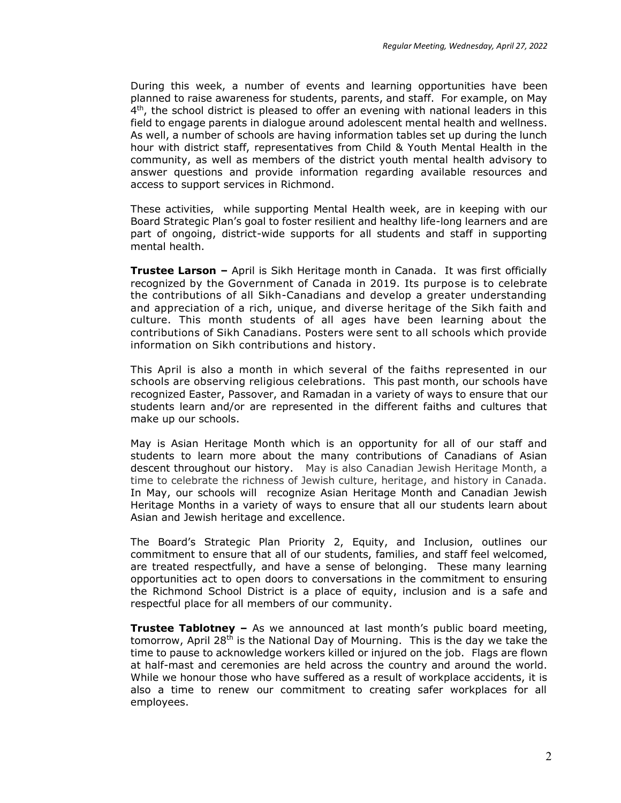During this week, a number of events and learning opportunities have been planned to raise awareness for students, parents, and staff. For example, on May  $4<sup>th</sup>$ , the school district is pleased to offer an evening with national leaders in this field to engage parents in dialogue around adolescent mental health and wellness. As well, a number of schools are having information tables set up during the lunch hour with district staff, representatives from Child & Youth Mental Health in the community, as well as members of the district youth mental health advisory to answer questions and provide information regarding available resources and access to support services in Richmond.

These activities, while supporting Mental Health week, are in keeping with our Board Strategic Plan's goal to foster resilient and healthy life-long learners and are part of ongoing, district-wide supports for all students and staff in supporting mental health.

**Trustee Larson –** April is Sikh Heritage month in Canada. It was first officially recognized by the Government of Canada in 2019. Its purpose is to celebrate the contributions of all Sikh-Canadians and develop a greater understanding and appreciation of a rich, unique, and diverse heritage of the Sikh faith and culture. This month students of all ages have been learning about the contributions of Sikh Canadians. Posters were sent to all schools which provide information on Sikh contributions and history.

This April is also a month in which several of the faiths represented in our schools are observing religious celebrations. This past month, our schools have recognized Easter, Passover, and Ramadan in a variety of ways to ensure that our students learn and/or are represented in the different faiths and cultures that make up our schools.

May is Asian Heritage Month which is an opportunity for all of our staff and students to learn more about the many contributions of Canadians of Asian descent throughout our history. May is also Canadian Jewish Heritage Month, a time to celebrate the richness of Jewish culture, heritage, and history in Canada. In May, our schools will recognize Asian Heritage Month and Canadian Jewish Heritage Months in a variety of ways to ensure that all our students learn about Asian and Jewish heritage and excellence.

The Board's Strategic Plan Priority 2, Equity, and Inclusion, outlines our commitment to ensure that all of our students, families, and staff feel welcomed, are treated respectfully, and have a sense of belonging. These many learning opportunities act to open doors to conversations in the commitment to ensuring the Richmond School District is a place of equity, inclusion and is a safe and respectful place for all members of our community.

**Trustee Tablotney –** As we announced at last month's public board meeting, tomorrow, April 28<sup>th</sup> is the National Day of Mourning. This is the day we take the time to pause to acknowledge workers killed or injured on the job. Flags are flown at half-mast and ceremonies are held across the country and around the world. While we honour those who have suffered as a result of workplace accidents, it is also a time to renew our commitment to creating safer workplaces for all employees.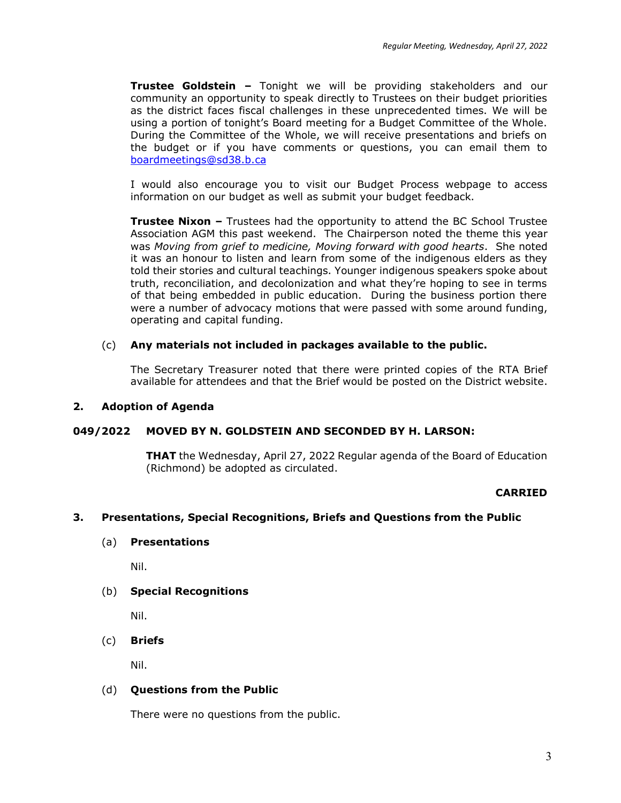**Trustee Goldstein –** Tonight we will be providing stakeholders and our community an opportunity to speak directly to Trustees on their budget priorities as the district faces fiscal challenges in these unprecedented times. We will be using a portion of tonight's Board meeting for a Budget Committee of the Whole. During the Committee of the Whole, we will receive presentations and briefs on the budget or if you have comments or questions, you can email them to [boardmeetings@sd38.b.ca](mailto:boardmeetings@sd38.b.ca)

I would also encourage you to visit our Budget Process webpage to access information on our budget as well as submit your budget feedback.

**Trustee Nixon –** Trustees had the opportunity to attend the BC School Trustee Association AGM this past weekend. The Chairperson noted the theme this year was *Moving from grief to medicine, Moving forward with good hearts*. She noted it was an honour to listen and learn from some of the indigenous elders as they told their stories and cultural teachings. Younger indigenous speakers spoke about truth, reconciliation, and decolonization and what they're hoping to see in terms of that being embedded in public education. During the business portion there were a number of advocacy motions that were passed with some around funding, operating and capital funding.

# (c) **Any materials not included in packages available to the public.**

The Secretary Treasurer noted that there were printed copies of the RTA Brief available for attendees and that the Brief would be posted on the District website.

# **2. Adoption of Agenda**

# **049/2022 MOVED BY N. GOLDSTEIN AND SECONDED BY H. LARSON:**

**THAT** the Wednesday, April 27, 2022 Regular agenda of the Board of Education (Richmond) be adopted as circulated.

# **CARRIED**

# **3. Presentations, Special Recognitions, Briefs and Questions from the Public**

# (a) **Presentations**

Nil.

# (b) **Special Recognitions**

Nil.

# (c) **Briefs**

Nil.

# (d) **Questions from the Public**

There were no questions from the public.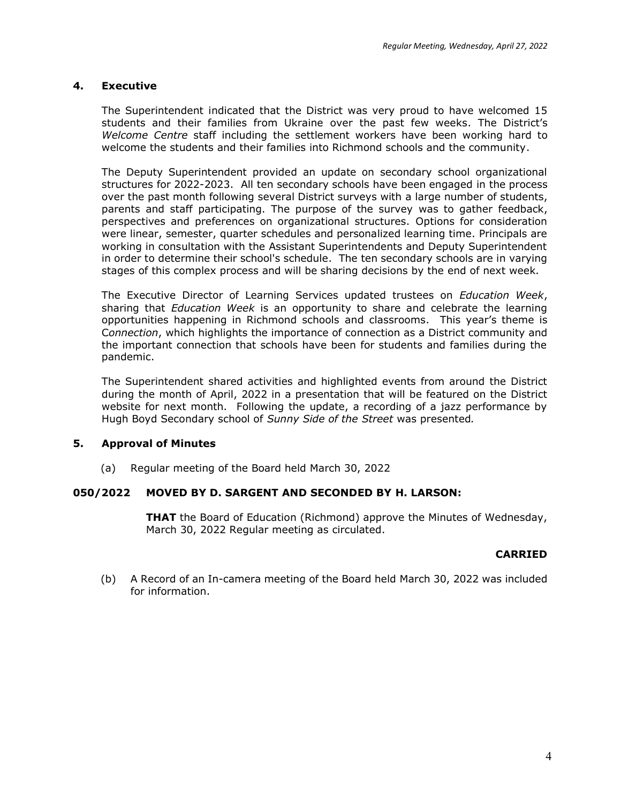# **4. Executive**

The Superintendent indicated that the District was very proud to have welcomed 15 students and their families from Ukraine over the past few weeks. The District's *Welcome Centre* staff including the settlement workers have been working hard to welcome the students and their families into Richmond schools and the community.

The Deputy Superintendent provided an update on secondary school organizational structures for 2022-2023. All ten secondary schools have been engaged in the process over the past month following several District surveys with a large number of students, parents and staff participating. The purpose of the survey was to gather feedback, perspectives and preferences on organizational structures. Options for consideration were linear, semester, quarter schedules and personalized learning time. Principals are working in consultation with the Assistant Superintendents and Deputy Superintendent in order to determine their school's schedule. The ten secondary schools are in varying stages of this complex process and will be sharing decisions by the end of next week.

The Executive Director of Learning Services updated trustees on *Education Week*, sharing that *Education Week* is an opportunity to share and celebrate the learning opportunities happening in Richmond schools and classrooms. This year's theme is C*onnection*, which highlights the importance of connection as a District community and the important connection that schools have been for students and families during the pandemic.

The Superintendent shared activities and highlighted events from around the District during the month of April, 2022 in a presentation that will be featured on the District website for next month. Following the update, a recording of a jazz performance by Hugh Boyd Secondary school of *Sunny Side of the Street* was presented*.*

# **5. Approval of Minutes**

(a) Regular meeting of the Board held March 30, 2022

# **050/2022 MOVED BY D. SARGENT AND SECONDED BY H. LARSON:**

**THAT** the Board of Education (Richmond) approve the Minutes of Wednesday, March 30, 2022 Regular meeting as circulated.

# **CARRIED**

(b) A Record of an In-camera meeting of the Board held March 30, 2022 was included for information.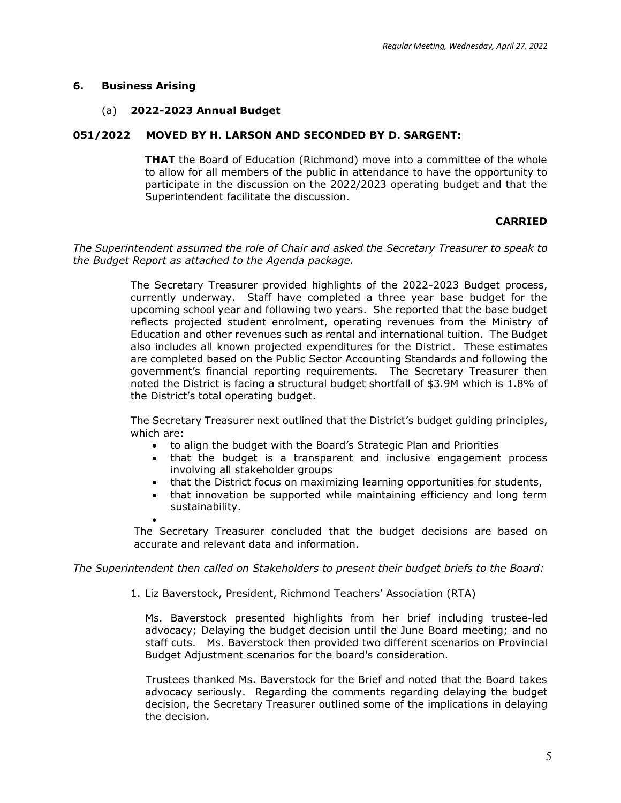# **6. Business Arising**

# (a) **2022-2023 Annual Budget**

# **051/2022 MOVED BY H. LARSON AND SECONDED BY D. SARGENT:**

**THAT** the Board of Education (Richmond) move into a committee of the whole to allow for all members of the public in attendance to have the opportunity to participate in the discussion on the 2022/2023 operating budget and that the Superintendent facilitate the discussion.

# **CARRIED**

*The Superintendent assumed the role of Chair and asked the Secretary Treasurer to speak to the Budget Report as attached to the Agenda package.*

> The Secretary Treasurer provided highlights of the 2022-2023 Budget process, currently underway. Staff have completed a three year base budget for the upcoming school year and following two years. She reported that the base budget reflects projected student enrolment, operating revenues from the Ministry of Education and other revenues such as rental and international tuition. The Budget also includes all known projected expenditures for the District. These estimates are completed based on the Public Sector Accounting Standards and following the government's financial reporting requirements. The Secretary Treasurer then noted the District is facing a structural budget shortfall of \$3.9M which is 1.8% of the District's total operating budget.

> The Secretary Treasurer next outlined that the District's budget guiding principles, which are:

- to align the budget with the Board's Strategic Plan and Priorities
- that the budget is a transparent and inclusive engagement process involving all stakeholder groups
- that the District focus on maximizing learning opportunities for students,
- that innovation be supported while maintaining efficiency and long term sustainability.

• The Secretary Treasurer concluded that the budget decisions are based on accurate and relevant data and information.

*The Superintendent then called on Stakeholders to present their budget briefs to the Board:*

1. Liz Baverstock, President, Richmond Teachers' Association (RTA)

Ms. Baverstock presented highlights from her brief including trustee-led advocacy; Delaying the budget decision until the June Board meeting; and no staff cuts. Ms. Baverstock then provided two different scenarios on Provincial Budget Adjustment scenarios for the board's consideration.

Trustees thanked Ms. Baverstock for the Brief and noted that the Board takes advocacy seriously. Regarding the comments regarding delaying the budget decision, the Secretary Treasurer outlined some of the implications in delaying the decision.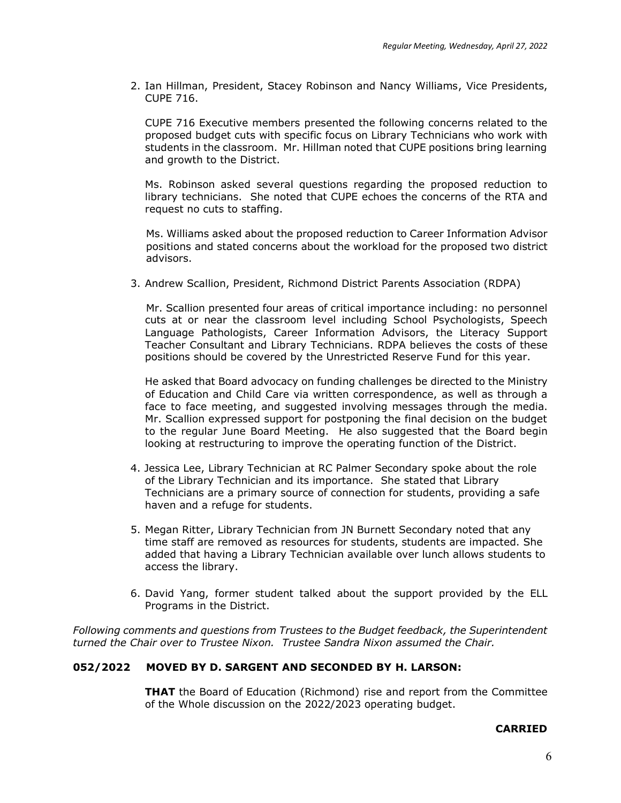2. Ian Hillman, President, Stacey Robinson and Nancy Williams, Vice Presidents, CUPE 716.

CUPE 716 Executive members presented the following concerns related to the proposed budget cuts with specific focus on Library Technicians who work with students in the classroom. Mr. Hillman noted that CUPE positions bring learning and growth to the District.

Ms. Robinson asked several questions regarding the proposed reduction to library technicians. She noted that CUPE echoes the concerns of the RTA and request no cuts to staffing.

Ms. Williams asked about the proposed reduction to Career Information Advisor positions and stated concerns about the workload for the proposed two district advisors.

3. Andrew Scallion, President, Richmond District Parents Association (RDPA)

Mr. Scallion presented four areas of critical importance including: no personnel cuts at or near the classroom level including School Psychologists, Speech Language Pathologists, Career Information Advisors, the Literacy Support Teacher Consultant and Library Technicians. RDPA believes the costs of these positions should be covered by the Unrestricted Reserve Fund for this year.

He asked that Board advocacy on funding challenges be directed to the Ministry of Education and Child Care via written correspondence, as well as through a face to face meeting, and suggested involving messages through the media. Mr. Scallion expressed support for postponing the final decision on the budget to the regular June Board Meeting. He also suggested that the Board begin looking at restructuring to improve the operating function of the District.

- 4. Jessica Lee, Library Technician at RC Palmer Secondary spoke about the role of the Library Technician and its importance. She stated that Library Technicians are a primary source of connection for students, providing a safe haven and a refuge for students.
- 5. Megan Ritter, Library Technician from JN Burnett Secondary noted that any time staff are removed as resources for students, students are impacted. She added that having a Library Technician available over lunch allows students to access the library.
- 6. David Yang, former student talked about the support provided by the ELL Programs in the District.

*Following comments and questions from Trustees to the Budget feedback, the Superintendent turned the Chair over to Trustee Nixon. Trustee Sandra Nixon assumed the Chair.*

# **052/2022 MOVED BY D. SARGENT AND SECONDED BY H. LARSON:**

**THAT** the Board of Education (Richmond) rise and report from the Committee of the Whole discussion on the 2022/2023 operating budget.

#### **CARRIED**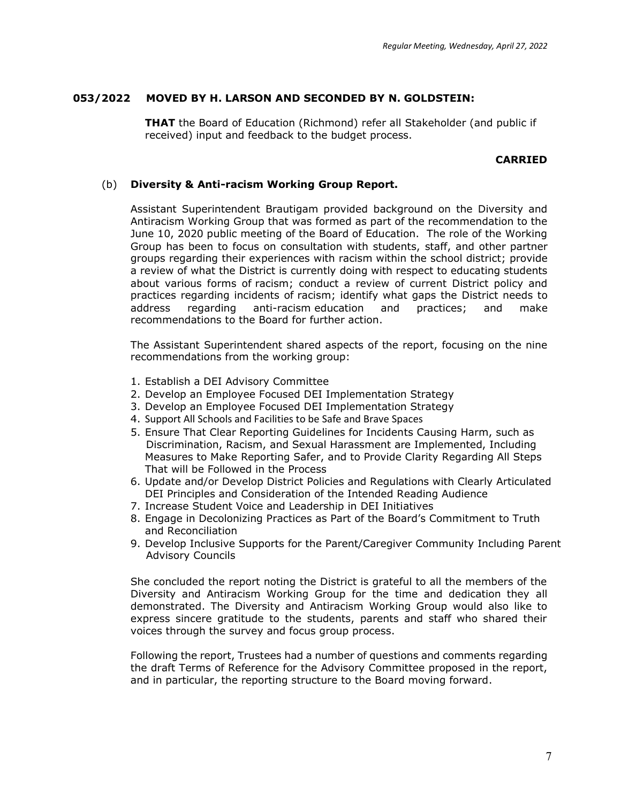# **053/2022 MOVED BY H. LARSON AND SECONDED BY N. GOLDSTEIN:**

**THAT** the Board of Education (Richmond) refer all Stakeholder (and public if received) input and feedback to the budget process.

## **CARRIED**

## (b) **Diversity & Anti-racism Working Group Report.**

Assistant Superintendent Brautigam provided background on the Diversity and Antiracism Working Group that was formed as part of the recommendation to the June 10, 2020 public meeting of the Board of Education. The role of the Working Group has been to focus on consultation with students, staff, and other partner groups regarding their experiences with racism within the school district; provide a review of what the District is currently doing with respect to educating students about various forms of racism; conduct a review of current District policy and practices regarding incidents of racism; identify what gaps the District needs to address regarding anti-racism education and practices; and make recommendations to the Board for further action.

The Assistant Superintendent shared aspects of the report, focusing on the nine recommendations from the working group:

- 1. Establish a DEI Advisory Committee
- 2. Develop an Employee Focused DEI Implementation Strategy
- 3. Develop an Employee Focused DEI Implementation Strategy
- 4. Support All Schools and Facilities to be Safe and Brave Spaces
- 5. Ensure That Clear Reporting Guidelines for Incidents Causing Harm, such as Discrimination, Racism, and Sexual Harassment are Implemented, Including Measures to Make Reporting Safer, and to Provide Clarity Regarding All Steps That will be Followed in the Process
- 6. Update and/or Develop District Policies and Regulations with Clearly Articulated DEI Principles and Consideration of the Intended Reading Audience
- 7. Increase Student Voice and Leadership in DEI Initiatives
- 8. Engage in Decolonizing Practices as Part of the Board's Commitment to Truth and Reconciliation
- 9. Develop Inclusive Supports for the Parent/Caregiver Community Including Parent Advisory Councils

She concluded the report noting the District is grateful to all the members of the Diversity and Antiracism Working Group for the time and dedication they all demonstrated. The Diversity and Antiracism Working Group would also like to express sincere gratitude to the students, parents and staff who shared their voices through the survey and focus group process.

Following the report, Trustees had a number of questions and comments regarding the draft Terms of Reference for the Advisory Committee proposed in the report, and in particular, the reporting structure to the Board moving forward.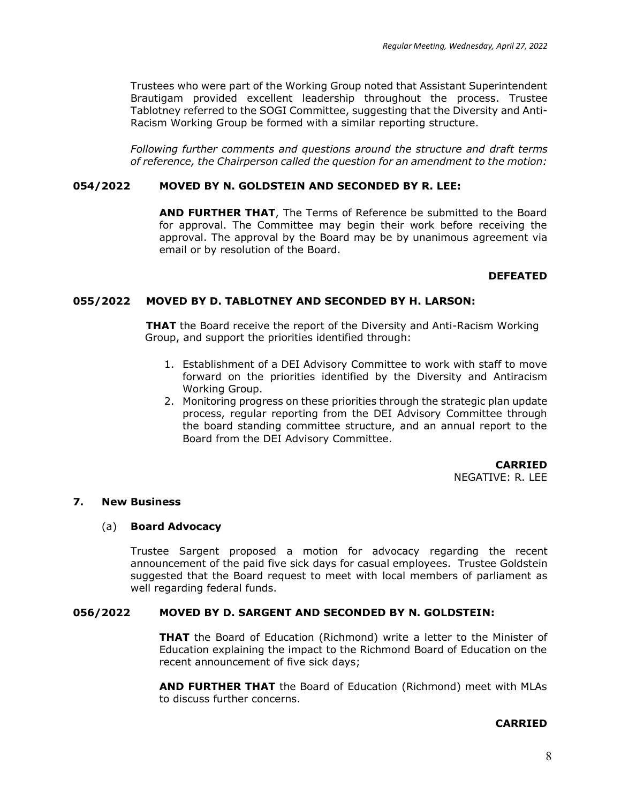Trustees who were part of the Working Group noted that Assistant Superintendent Brautigam provided excellent leadership throughout the process. Trustee Tablotney referred to the SOGI Committee, suggesting that the Diversity and Anti-Racism Working Group be formed with a similar reporting structure.

*Following further comments and questions around the structure and draft terms of reference, the Chairperson called the question for an amendment to the motion:*

## **054/2022 MOVED BY N. GOLDSTEIN AND SECONDED BY R. LEE:**

**AND FURTHER THAT**, The Terms of Reference be submitted to the Board for approval. The Committee may begin their work before receiving the approval. The approval by the Board may be by unanimous agreement via email or by resolution of the Board.

#### **DEFEATED**

# **055/2022 MOVED BY D. TABLOTNEY AND SECONDED BY H. LARSON:**

**THAT** the Board receive the report of the Diversity and Anti-Racism Working Group, and support the priorities identified through:

- 1. Establishment of a DEI Advisory Committee to work with staff to move forward on the priorities identified by the Diversity and Antiracism Working Group.
- 2. Monitoring progress on these priorities through the strategic plan update process, regular reporting from the DEI Advisory Committee through the board standing committee structure, and an annual report to the Board from the DEI Advisory Committee.

**CARRIED** NEGATIVE: R. LEE

#### **7. New Business**

#### (a) **Board Advocacy**

Trustee Sargent proposed a motion for advocacy regarding the recent announcement of the paid five sick days for casual employees. Trustee Goldstein suggested that the Board request to meet with local members of parliament as well regarding federal funds.

### **056/2022 MOVED BY D. SARGENT AND SECONDED BY N. GOLDSTEIN:**

**THAT** the Board of Education (Richmond) write a letter to the Minister of Education explaining the impact to the Richmond Board of Education on the recent announcement of five sick days;

**AND FURTHER THAT** the Board of Education (Richmond) meet with MLAs to discuss further concerns.

#### **CARRIED**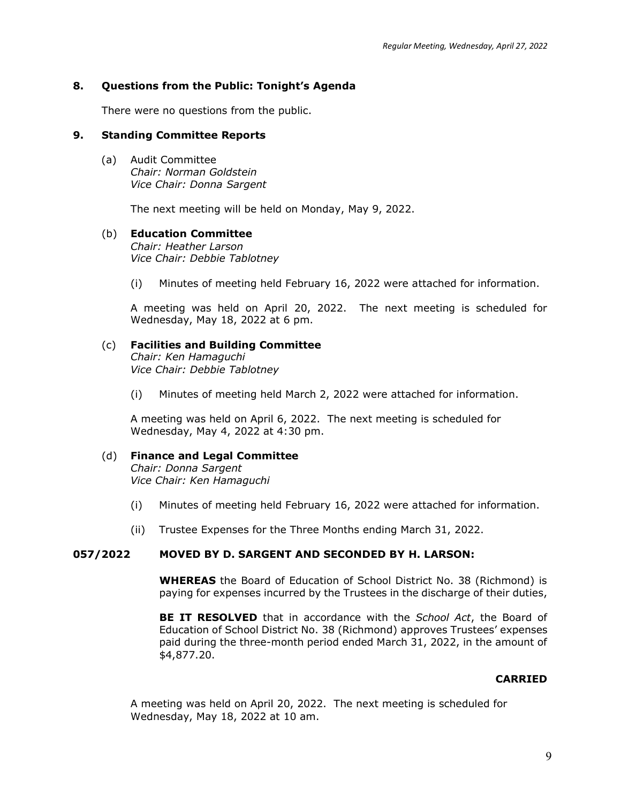# **8. Questions from the Public: Tonight's Agenda**

There were no questions from the public.

## **9. Standing Committee Reports**

(a) Audit Committee *Chair: Norman Goldstein Vice Chair: Donna Sargent*

The next meeting will be held on Monday, May 9, 2022.

# (b) **Education Committee**

*Chair: Heather Larson Vice Chair: Debbie Tablotney*

(i) Minutes of meeting held February 16, 2022 were attached for information.

A meeting was held on April 20, 2022. The next meeting is scheduled for Wednesday, May 18, 2022 at 6 pm.

# (c) **Facilities and Building Committee**

*Chair: Ken Hamaguchi Vice Chair: Debbie Tablotney*

(i) Minutes of meeting held March 2, 2022 were attached for information.

A meeting was held on April 6, 2022. The next meeting is scheduled for Wednesday, May 4, 2022 at 4:30 pm.

# (d) **Finance and Legal Committee**

*Chair: Donna Sargent Vice Chair: Ken Hamaguchi*

- (i) Minutes of meeting held February 16, 2022 were attached for information.
- (ii) Trustee Expenses for the Three Months ending March 31, 2022.

# **057/2022 MOVED BY D. SARGENT AND SECONDED BY H. LARSON:**

**WHEREAS** the Board of Education of School District No. 38 (Richmond) is paying for expenses incurred by the Trustees in the discharge of their duties,

**BE IT RESOLVED** that in accordance with the *School Act*, the Board of Education of School District No. 38 (Richmond) approves Trustees' expenses paid during the three-month period ended March 31, 2022, in the amount of \$4,877.20.

#### **CARRIED**

A meeting was held on April 20, 2022. The next meeting is scheduled for Wednesday, May 18, 2022 at 10 am.